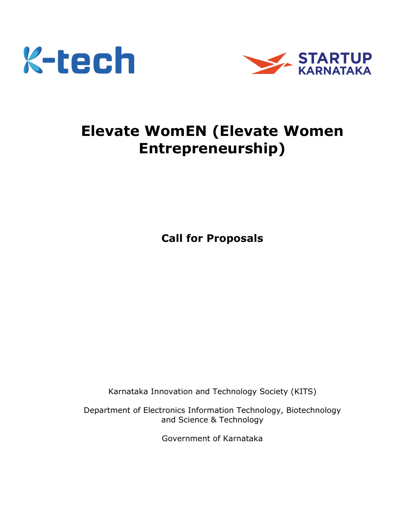



# **Elevate WomEN (Elevate Women Entrepreneurship)**

**Call for Proposals**

Karnataka Innovation and Technology Society (KITS)

Department of Electronics Information Technology, Biotechnology and Science & Technology

Government of Karnataka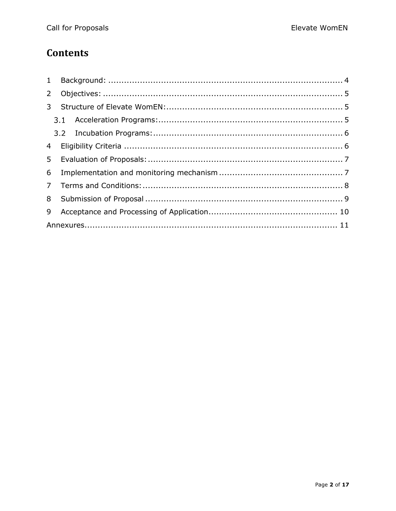# **Contents**

| $2^{\circ}$    |  |  |  |  |
|----------------|--|--|--|--|
| 3 <sup>7</sup> |  |  |  |  |
|                |  |  |  |  |
|                |  |  |  |  |
| $\overline{4}$ |  |  |  |  |
| 5 <sup>1</sup> |  |  |  |  |
| 6              |  |  |  |  |
|                |  |  |  |  |
|                |  |  |  |  |
|                |  |  |  |  |
|                |  |  |  |  |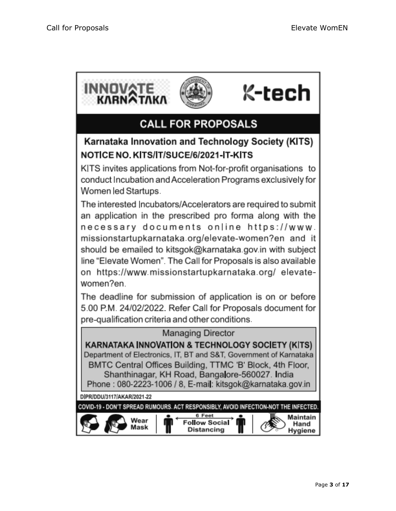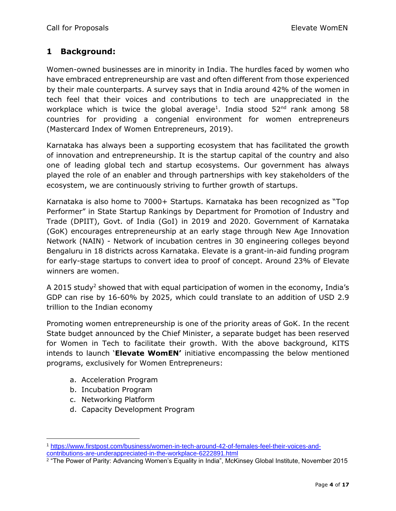# <span id="page-3-0"></span>**1 Background:**

Women-owned businesses are in minority in India. The hurdles faced by women who have embraced entrepreneurship are vast and often different from those experienced by their male counterparts. A survey says that in India around 42% of the women in tech feel that their voices and contributions to tech are unappreciated in the workplace which is twice the global average<sup>1</sup>. India stood  $52<sup>nd</sup>$  rank among 58 countries for providing a congenial environment for women entrepreneurs (Mastercard Index of Women Entrepreneurs, 2019).

Karnataka has always been a supporting ecosystem that has facilitated the growth of innovation and entrepreneurship. It is the startup capital of the country and also one of leading global tech and startup ecosystems. Our government has always played the role of an enabler and through partnerships with key stakeholders of the ecosystem, we are continuously striving to further growth of startups.

Karnataka is also home to 7000+ Startups. Karnataka has been recognized as "Top Performer" in State Startup Rankings by Department for Promotion of Industry and Trade (DPIIT), Govt. of India (GoI) in 2019 and 2020. Government of Karnataka (GoK) encourages entrepreneurship at an early stage through New Age Innovation Network (NAIN) - Network of incubation centres in 30 engineering colleges beyond Bengaluru in 18 districts across Karnataka. Elevate is a grant-in-aid funding program for early-stage startups to convert idea to proof of concept. Around 23% of Elevate winners are women.

A 2015 study<sup>2</sup> showed that with equal participation of women in the economy, India's GDP can rise by 16-60% by 2025, which could translate to an addition of USD 2.9 trillion to the Indian economy

Promoting women entrepreneurship is one of the priority areas of GoK. In the recent State budget announced by the Chief Minister, a separate budget has been reserved for Women in Tech to facilitate their growth. With the above background, KITS intends to launch '**Elevate WomEN'** initiative encompassing the below mentioned programs, exclusively for Women Entrepreneurs:

- a. Acceleration Program
- b. Incubation Program
- c. Networking Platform
- d. Capacity Development Program

<sup>1</sup> [https://www.firstpost.com/business/women-in-tech-around-42-of-females-feel-their-voices-and](https://www.firstpost.com/business/women-in-tech-around-42-of-females-feel-their-voices-and-contributions-are-underappreciated-in-the-workplace-6222891.html)[contributions-are-underappreciated-in-the-workplace-6222891.html](https://www.firstpost.com/business/women-in-tech-around-42-of-females-feel-their-voices-and-contributions-are-underappreciated-in-the-workplace-6222891.html)

<sup>2</sup> "The Power of Parity: Advancing Women's Equality in India", McKinsey Global Institute, November 2015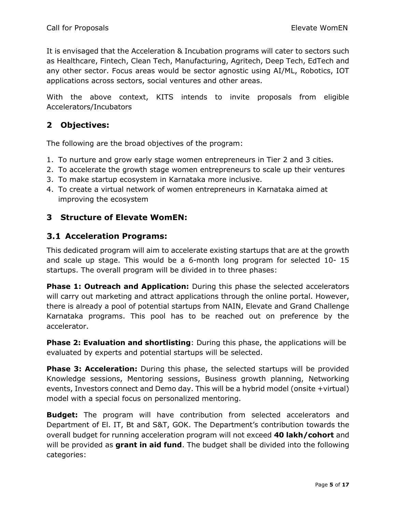It is envisaged that the Acceleration & Incubation programs will cater to sectors such as Healthcare, Fintech, Clean Tech, Manufacturing, Agritech, Deep Tech, EdTech and any other sector. Focus areas would be sector agnostic using AI/ML, Robotics, IOT applications across sectors, social ventures and other areas.

With the above context, KITS intends to invite proposals from eligible Accelerators/Incubators

# <span id="page-4-0"></span>**2 Objectives:**

The following are the broad objectives of the program:

- 1. To nurture and grow early stage women entrepreneurs in Tier 2 and 3 cities.
- 2. To accelerate the growth stage women entrepreneurs to scale up their ventures
- 3. To make startup ecosystem in Karnataka more inclusive.
- 4. To create a virtual network of women entrepreneurs in Karnataka aimed at improving the ecosystem

# <span id="page-4-1"></span>**3 Structure of Elevate WomEN:**

### <span id="page-4-2"></span>**Acceleration Programs:**

This dedicated program will aim to accelerate existing startups that are at the growth and scale up stage. This would be a 6-month long program for selected 10- 15 startups. The overall program will be divided in to three phases:

**Phase 1: Outreach and Application:** During this phase the selected accelerators will carry out marketing and attract applications through the online portal. However, there is already a pool of potential startups from NAIN, Elevate and Grand Challenge Karnataka programs. This pool has to be reached out on preference by the accelerator.

**Phase 2: Evaluation and shortlisting**: During this phase, the applications will be evaluated by experts and potential startups will be selected.

**Phase 3: Acceleration:** During this phase, the selected startups will be provided Knowledge sessions, Mentoring sessions, Business growth planning, Networking events, Investors connect and Demo day. This will be a hybrid model (onsite +virtual) model with a special focus on personalized mentoring.

**Budget:** The program will have contribution from selected accelerators and Department of El. IT, Bt and S&T, GOK. The Department's contribution towards the overall budget for running acceleration program will not exceed **40 lakh/cohort** and will be provided as **grant in aid fund**. The budget shall be divided into the following categories: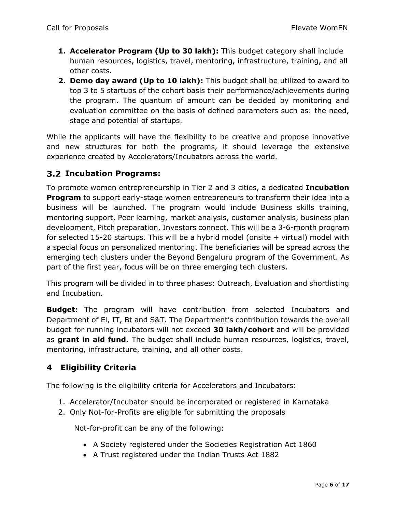- **1. Accelerator Program (Up to 30 lakh):** This budget category shall include human resources, logistics, travel, mentoring, infrastructure, training, and all other costs.
- **2. Demo day award (Up to 10 lakh):** This budget shall be utilized to award to top 3 to 5 startups of the cohort basis their performance/achievements during the program. The quantum of amount can be decided by monitoring and evaluation committee on the basis of defined parameters such as: the need, stage and potential of startups.

While the applicants will have the flexibility to be creative and propose innovative and new structures for both the programs, it should leverage the extensive experience created by Accelerators/Incubators across the world.

# <span id="page-5-0"></span>**Incubation Programs:**

To promote women entrepreneurship in Tier 2 and 3 cities, a dedicated **Incubation Program** to support early-stage women entrepreneurs to transform their idea into a business will be launched. The program would include Business skills training, mentoring support, Peer learning, market analysis, customer analysis, business plan development, Pitch preparation, Investors connect. This will be a 3-6-month program for selected 15-20 startups. This will be a hybrid model (onsite + virtual) model with a special focus on personalized mentoring. The beneficiaries will be spread across the emerging tech clusters under the Beyond Bengaluru program of the Government. As part of the first year, focus will be on three emerging tech clusters.

This program will be divided in to three phases: Outreach, Evaluation and shortlisting and Incubation.

**Budget:** The program will have contribution from selected Incubators and Department of El, IT, Bt and S&T. The Department's contribution towards the overall budget for running incubators will not exceed **30 lakh/cohort** and will be provided as **grant in aid fund.** The budget shall include human resources, logistics, travel, mentoring, infrastructure, training, and all other costs.

# <span id="page-5-1"></span>**4 Eligibility Criteria**

The following is the eligibility criteria for Accelerators and Incubators:

- 1. Accelerator/Incubator should be incorporated or registered in Karnataka
- 2. Only Not-for-Profits are eligible for submitting the proposals

Not-for-profit can be any of the following:

- A Society registered under the Societies Registration Act 1860
- A Trust registered under the Indian Trusts Act 1882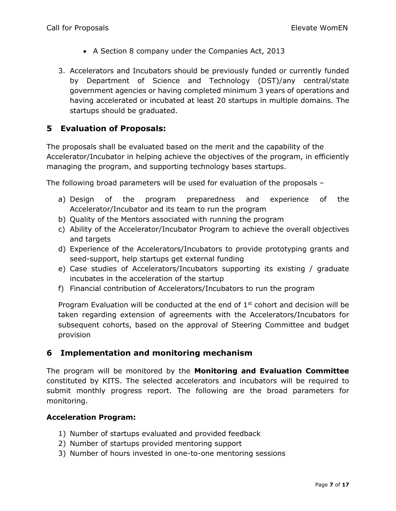- A Section 8 company under the Companies Act, 2013
- 3. Accelerators and Incubators should be previously funded or currently funded by Department of Science and Technology (DST)/any central/state government agencies or having completed minimum 3 years of operations and having accelerated or incubated at least 20 startups in multiple domains. The startups should be graduated.

### <span id="page-6-0"></span>**5 Evaluation of Proposals:**

The proposals shall be evaluated based on the merit and the capability of the Accelerator/Incubator in helping achieve the objectives of the program, in efficiently managing the program, and supporting technology bases startups.

The following broad parameters will be used for evaluation of the proposals –

- a) Design of the program preparedness and experience of the Accelerator/Incubator and its team to run the program
- b) Quality of the Mentors associated with running the program
- c) Ability of the Accelerator/Incubator Program to achieve the overall objectives and targets
- d) Experience of the Accelerators/Incubators to provide prototyping grants and seed-support, help startups get external funding
- e) Case studies of Accelerators/Incubators supporting its existing / graduate incubates in the acceleration of the startup
- f) Financial contribution of Accelerators/Incubators to run the program

Program Evaluation will be conducted at the end of  $1<sup>st</sup>$  cohort and decision will be taken regarding extension of agreements with the Accelerators/Incubators for subsequent cohorts, based on the approval of Steering Committee and budget provision

#### <span id="page-6-1"></span>**6 Implementation and monitoring mechanism**

The program will be monitored by the **Monitoring and Evaluation Committee**  constituted by KITS. The selected accelerators and incubators will be required to submit monthly progress report. The following are the broad parameters for monitoring.

#### **Acceleration Program:**

- 1) Number of startups evaluated and provided feedback
- 2) Number of startups provided mentoring support
- 3) Number of hours invested in one-to-one mentoring sessions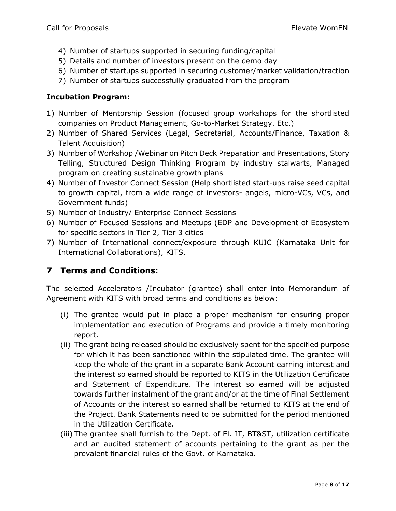- 4) Number of startups supported in securing funding/capital
- 5) Details and number of investors present on the demo day
- 6) Number of startups supported in securing customer/market validation/traction
- 7) Number of startups successfully graduated from the program

#### **Incubation Program:**

- 1) Number of Mentorship Session (focused group workshops for the shortlisted companies on Product Management, Go-to-Market Strategy. Etc.)
- 2) Number of Shared Services (Legal, Secretarial, Accounts/Finance, Taxation & Talent Acquisition)
- 3) Number of Workshop /Webinar on Pitch Deck Preparation and Presentations, Story Telling, Structured Design Thinking Program by industry stalwarts, Managed program on creating sustainable growth plans
- 4) Number of Investor Connect Session (Help shortlisted start-ups raise seed capital to growth capital, from a wide range of investors- angels, micro-VCs, VCs, and Government funds)
- 5) Number of Industry/ Enterprise Connect Sessions
- 6) Number of Focused Sessions and Meetups (EDP and Development of Ecosystem for specific sectors in Tier 2, Tier 3 cities
- 7) Number of International connect/exposure through KUIC (Karnataka Unit for International Collaborations), KITS.

# <span id="page-7-0"></span>**7 Terms and Conditions:**

The selected Accelerators /Incubator (grantee) shall enter into Memorandum of Agreement with KITS with broad terms and conditions as below:

- (i) The grantee would put in place a proper mechanism for ensuring proper implementation and execution of Programs and provide a timely monitoring report.
- (ii) The grant being released should be exclusively spent for the specified purpose for which it has been sanctioned within the stipulated time. The grantee will keep the whole of the grant in a separate Bank Account earning interest and the interest so earned should be reported to KITS in the Utilization Certificate and Statement of Expenditure. The interest so earned will be adjusted towards further instalment of the grant and/or at the time of Final Settlement of Accounts or the interest so earned shall be returned to KITS at the end of the Project. Bank Statements need to be submitted for the period mentioned in the Utilization Certificate.
- (iii) The grantee shall furnish to the Dept. of El. IT, BT&ST, utilization certificate and an audited statement of accounts pertaining to the grant as per the prevalent financial rules of the Govt. of Karnataka.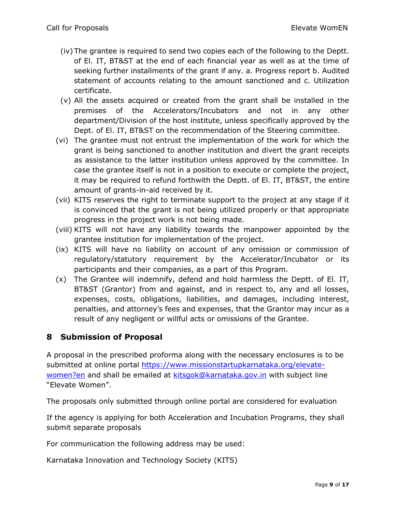- (iv)The grantee is required to send two copies each of the following to the Deptt. of El. IT, BT&ST at the end of each financial year as well as at the time of seeking further installments of the grant if any. a. Progress report b. Audited statement of accounts relating to the amount sanctioned and c. Utilization certificate.
- (v) All the assets acquired or created from the grant shall be installed in the premises of the Accelerators/Incubators and not in any other department/Division of the host institute, unless specifically approved by the Dept. of El. IT, BT&ST on the recommendation of the Steering committee.
- (vi) The grantee must not entrust the implementation of the work for which the grant is being sanctioned to another institution and divert the grant receipts as assistance to the latter institution unless approved by the committee. In case the grantee itself is not in a position to execute or complete the project, it may be required to refund forthwith the Deptt. of El. IT, BT&ST, the entire amount of grants-in-aid received by it.
- (vii) KITS reserves the right to terminate support to the project at any stage if it is convinced that the grant is not being utilized properly or that appropriate progress in the project work is not being made.
- (viii) KITS will not have any liability towards the manpower appointed by the grantee institution for implementation of the project.
- (ix) KITS will have no liability on account of any omission or commission of regulatory/statutory requirement by the Accelerator/Incubator or its participants and their companies, as a part of this Program.
- (x) The Grantee will indemnify, defend and hold harmless the Deptt. of El. IT, BT&ST (Grantor) from and against, and in respect to, any and all losses, expenses, costs, obligations, liabilities, and damages, including interest, penalties, and attorney's fees and expenses, that the Grantor may incur as a result of any negligent or willful acts or omissions of the Grantee.

# <span id="page-8-0"></span>**8 Submission of Proposal**

A proposal in the prescribed proforma along with the necessary enclosures is to be submitted at online portal [https://www.missionstartupkarnataka.org/elevate](https://www.missionstartupkarnataka.org/elevate-women?en)[women?en](https://www.missionstartupkarnataka.org/elevate-women?en) and shall be emailed at [kitsgok@karnataka.gov.in](mailto:kitsgok@karnataka.gov.in) with subject line "Elevate Women".

The proposals only submitted through online portal are considered for evaluation

If the agency is applying for both Acceleration and Incubation Programs, they shall submit separate proposals

For communication the following address may be used:

Karnataka Innovation and Technology Society (KITS)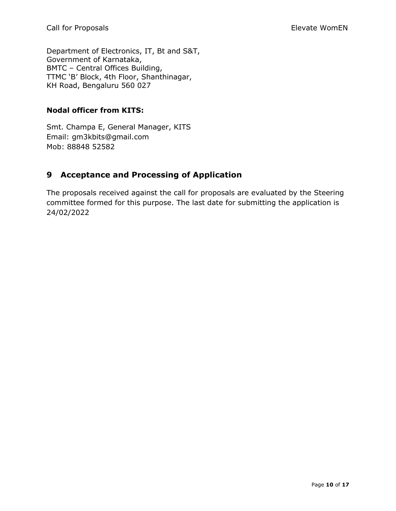Department of Electronics, IT, Bt and S&T, Government of Karnataka, BMTC – Central Offices Building, TTMC 'B' Block, 4th Floor, Shanthinagar, KH Road, Bengaluru 560 027

#### **Nodal officer from KITS:**

Smt. Champa E, General Manager, KITS Email: gm3kbits@gmail.com Mob: 88848 52582

# <span id="page-9-0"></span>**9 Acceptance and Processing of Application**

The proposals received against the call for proposals are evaluated by the Steering committee formed for this purpose. The last date for submitting the application is 24/02/2022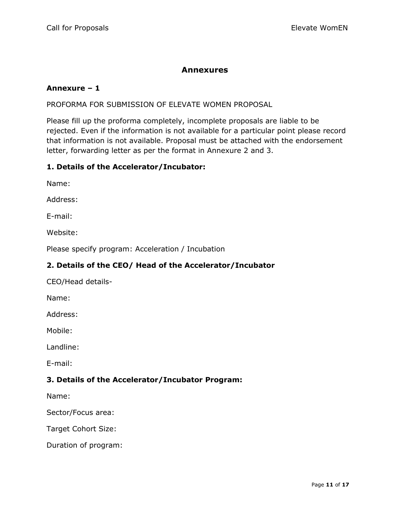# **Annexures**

#### <span id="page-10-0"></span>**Annexure – 1**

PROFORMA FOR SUBMISSION OF ELEVATE WOMEN PROPOSAL

Please fill up the proforma completely, incomplete proposals are liable to be rejected. Even if the information is not available for a particular point please record that information is not available. Proposal must be attached with the endorsement letter, forwarding letter as per the format in Annexure 2 and 3.

#### **1. Details of the Accelerator/Incubator:**

Name:

Address:

E-mail:

Website:

Please specify program: Acceleration / Incubation

#### **2. Details of the CEO/ Head of the Accelerator/Incubator**

CEO/Head details-

Name:

Address:

Mobile:

Landline:

E-mail:

#### **3. Details of the Accelerator/Incubator Program:**

Name:

Sector/Focus area:

Target Cohort Size:

Duration of program: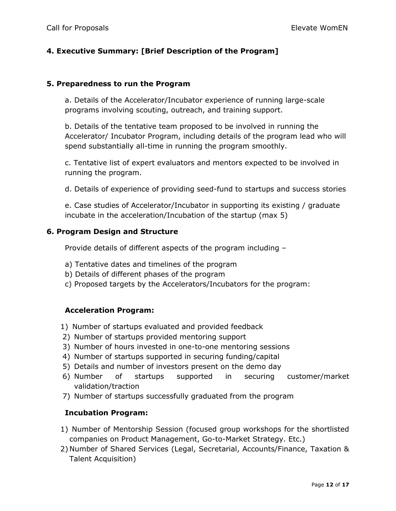#### **4. Executive Summary: [Brief Description of the Program]**

#### **5. Preparedness to run the Program**

a. Details of the Accelerator/Incubator experience of running large-scale programs involving scouting, outreach, and training support.

b. Details of the tentative team proposed to be involved in running the Accelerator/ Incubator Program, including details of the program lead who will spend substantially all-time in running the program smoothly.

c. Tentative list of expert evaluators and mentors expected to be involved in running the program.

d. Details of experience of providing seed-fund to startups and success stories

e. Case studies of Accelerator/Incubator in supporting its existing / graduate incubate in the acceleration/Incubation of the startup (max 5)

#### **6. Program Design and Structure**

Provide details of different aspects of the program including –

- a) Tentative dates and timelines of the program
- b) Details of different phases of the program
- c) Proposed targets by the Accelerators/Incubators for the program:

#### **Acceleration Program:**

- 1) Number of startups evaluated and provided feedback
- 2) Number of startups provided mentoring support
- 3) Number of hours invested in one-to-one mentoring sessions
- 4) Number of startups supported in securing funding/capital
- 5) Details and number of investors present on the demo day
- 6) Number of startups supported in securing customer/market validation/traction
- 7) Number of startups successfully graduated from the program

#### **Incubation Program:**

- 1) Number of Mentorship Session (focused group workshops for the shortlisted companies on Product Management, Go-to-Market Strategy. Etc.)
- 2) Number of Shared Services (Legal, Secretarial, Accounts/Finance, Taxation & Talent Acquisition)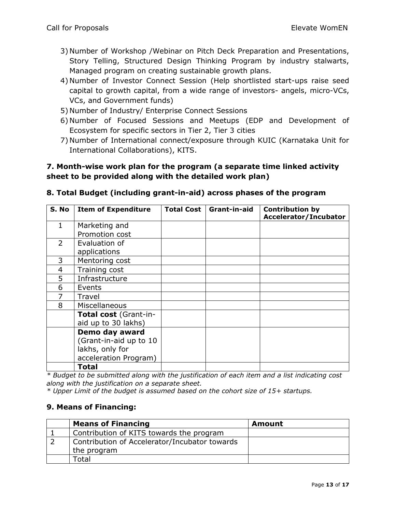- 3) Number of Workshop /Webinar on Pitch Deck Preparation and Presentations, Story Telling, Structured Design Thinking Program by industry stalwarts, Managed program on creating sustainable growth plans.
- 4) Number of Investor Connect Session (Help shortlisted start-ups raise seed capital to growth capital, from a wide range of investors- angels, micro-VCs, VCs, and Government funds)
- 5) Number of Industry/ Enterprise Connect Sessions
- 6) Number of Focused Sessions and Meetups (EDP and Development of Ecosystem for specific sectors in Tier 2, Tier 3 cities
- 7) Number of International connect/exposure through KUIC (Karnataka Unit for International Collaborations), KITS.

### **7. Month-wise work plan for the program (a separate time linked activity sheet to be provided along with the detailed work plan)**

| S. No          | <b>Item of Expenditure</b>   | <b>Total Cost</b> | Grant-in-aid | <b>Contribution by</b><br>Accelerator/Incubator |
|----------------|------------------------------|-------------------|--------------|-------------------------------------------------|
| $\mathbf{1}$   | Marketing and                |                   |              |                                                 |
|                | Promotion cost               |                   |              |                                                 |
| $\overline{2}$ | Evaluation of                |                   |              |                                                 |
|                | applications                 |                   |              |                                                 |
| 3              | Mentoring cost               |                   |              |                                                 |
| 4              | Training cost                |                   |              |                                                 |
| 5              | Infrastructure               |                   |              |                                                 |
| 6              | Events                       |                   |              |                                                 |
| 7              | Travel                       |                   |              |                                                 |
| 8              | Miscellaneous                |                   |              |                                                 |
|                | <b>Total cost (Grant-in-</b> |                   |              |                                                 |
|                | aid up to 30 lakhs)          |                   |              |                                                 |
|                | Demo day award               |                   |              |                                                 |
|                | (Grant-in-aid up to 10       |                   |              |                                                 |
|                | lakhs, only for              |                   |              |                                                 |
|                | acceleration Program)        |                   |              |                                                 |
|                | Total                        |                   |              |                                                 |

#### **8. Total Budget (including grant-in-aid) across phases of the program**

*\* Budget to be submitted along with the justification of each item and a list indicating cost along with the justification on a separate sheet.* 

*\* Upper Limit of the budget is assumed based on the cohort size of 15+ startups.* 

#### **9. Means of Financing:**

| <b>Means of Financing</b>                     | <b>Amount</b> |
|-----------------------------------------------|---------------|
| Contribution of KITS towards the program      |               |
| Contribution of Accelerator/Incubator towards |               |
| the program                                   |               |
| -otal                                         |               |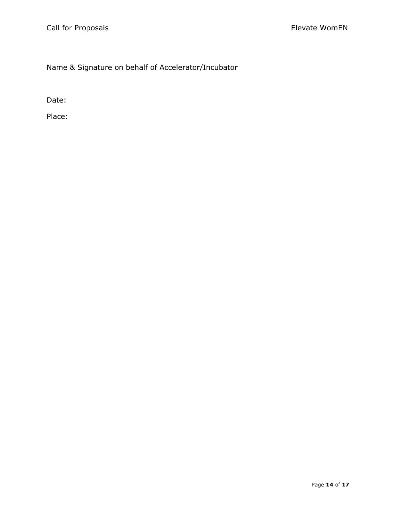# Name & Signature on behalf of Accelerator/Incubator

Date:

Place: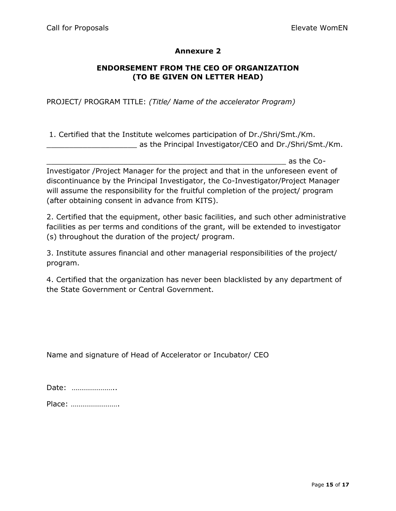#### **Annexure 2**

#### **ENDORSEMENT FROM THE CEO OF ORGANIZATION (TO BE GIVEN ON LETTER HEAD)**

PROJECT/ PROGRAM TITLE: *(Title/ Name of the accelerator Program)* 

1. Certified that the Institute welcomes participation of Dr./Shri/Smt./Km. as the Principal Investigator/CEO and Dr./Shri/Smt./Km.

\_\_\_\_\_\_\_\_\_\_\_\_\_\_\_\_\_\_\_\_\_\_\_\_\_\_\_\_\_\_\_\_\_\_\_\_\_\_\_\_\_\_\_\_\_\_\_\_\_\_\_\_\_ as the Co-Investigator /Project Manager for the project and that in the unforeseen event of discontinuance by the Principal Investigator, the Co-Investigator/Project Manager will assume the responsibility for the fruitful completion of the project/ program (after obtaining consent in advance from KITS).

2. Certified that the equipment, other basic facilities, and such other administrative facilities as per terms and conditions of the grant, will be extended to investigator (s) throughout the duration of the project/ program.

3. Institute assures financial and other managerial responsibilities of the project/ program.

4. Certified that the organization has never been blacklisted by any department of the State Government or Central Government.

Name and signature of Head of Accelerator or Incubator/ CEO

| Date: |  |  |
|-------|--|--|
|-------|--|--|

Place: …………………….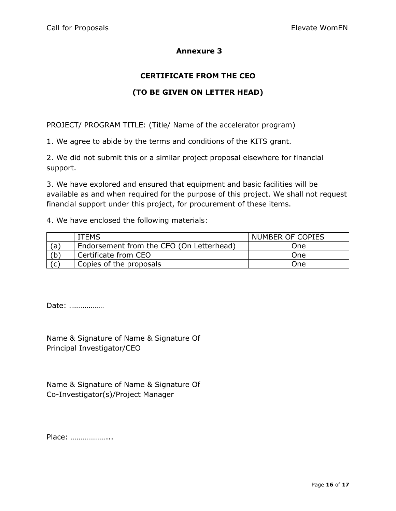#### **Annexure 3**

#### **CERTIFICATE FROM THE CEO**

#### **(TO BE GIVEN ON LETTER HEAD)**

PROJECT/ PROGRAM TITLE: (Title/ Name of the accelerator program)

1. We agree to abide by the terms and conditions of the KITS grant.

2. We did not submit this or a similar project proposal elsewhere for financial support.

3. We have explored and ensured that equipment and basic facilities will be available as and when required for the purpose of this project. We shall not request financial support under this project, for procurement of these items.

4. We have enclosed the following materials:

|     | <b>ITEMS</b>                             | NUMBER OF COPIES |
|-----|------------------------------------------|------------------|
| (a` | Endorsement from the CEO (On Letterhead) | One              |
| (b) | Certificate from CEO                     | One              |
| (c) | Copies of the proposals                  | One              |

Date: ………………

Name & Signature of Name & Signature Of Principal Investigator/CEO

Name & Signature of Name & Signature Of Co-Investigator(s)/Project Manager

Place: ………………...